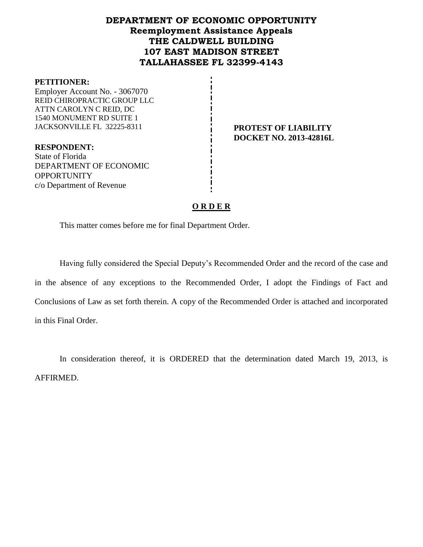# **DEPARTMENT OF ECONOMIC OPPORTUNITY Reemployment Assistance Appeals THE CALDWELL BUILDING 107 EAST MADISON STREET TALLAHASSEE FL 32399-4143**

#### **PETITIONER:**

Employer Account No. - 3067070 REID CHIROPRACTIC GROUP LLC ATTN CAROLYN C REID, DC 1540 MONUMENT RD SUITE 1 JACKSONVILLE FL 32225-8311 **PROTEST OF LIABILITY**

**DOCKET NO. 2013-42816L**

**RESPONDENT:** State of Florida DEPARTMENT OF ECONOMIC **OPPORTUNITY** c/o Department of Revenue

# **O R D E R**

This matter comes before me for final Department Order.

Having fully considered the Special Deputy's Recommended Order and the record of the case and in the absence of any exceptions to the Recommended Order, I adopt the Findings of Fact and Conclusions of Law as set forth therein. A copy of the Recommended Order is attached and incorporated in this Final Order.

In consideration thereof, it is ORDERED that the determination dated March 19, 2013, is AFFIRMED.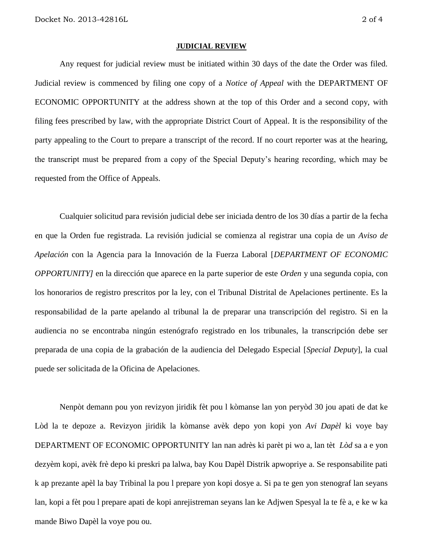#### **JUDICIAL REVIEW**

Any request for judicial review must be initiated within 30 days of the date the Order was filed. Judicial review is commenced by filing one copy of a *Notice of Appeal* with the DEPARTMENT OF ECONOMIC OPPORTUNITY at the address shown at the top of this Order and a second copy, with filing fees prescribed by law, with the appropriate District Court of Appeal. It is the responsibility of the party appealing to the Court to prepare a transcript of the record. If no court reporter was at the hearing, the transcript must be prepared from a copy of the Special Deputy's hearing recording, which may be requested from the Office of Appeals.

Cualquier solicitud para revisión judicial debe ser iniciada dentro de los 30 días a partir de la fecha en que la Orden fue registrada. La revisión judicial se comienza al registrar una copia de un *Aviso de Apelación* con la Agencia para la Innovación de la Fuerza Laboral [*DEPARTMENT OF ECONOMIC OPPORTUNITY]* en la dirección que aparece en la parte superior de este *Orden* y una segunda copia, con los honorarios de registro prescritos por la ley, con el Tribunal Distrital de Apelaciones pertinente. Es la responsabilidad de la parte apelando al tribunal la de preparar una transcripción del registro. Si en la audiencia no se encontraba ningún estenógrafo registrado en los tribunales, la transcripción debe ser preparada de una copia de la grabación de la audiencia del Delegado Especial [*Special Deputy*], la cual puede ser solicitada de la Oficina de Apelaciones.

Nenpòt demann pou yon revizyon jiridik fèt pou l kòmanse lan yon peryòd 30 jou apati de dat ke Lòd la te depoze a. Revizyon jiridik la kòmanse avèk depo yon kopi yon *Avi Dapèl* ki voye bay DEPARTMENT OF ECONOMIC OPPORTUNITY lan nan adrès ki parèt pi wo a, lan tèt *Lòd* sa a e yon dezyèm kopi, avèk frè depo ki preskri pa lalwa, bay Kou Dapèl Distrik apwopriye a. Se responsabilite pati k ap prezante apèl la bay Tribinal la pou l prepare yon kopi dosye a. Si pa te gen yon stenograf lan seyans lan, kopi a fèt pou l prepare apati de kopi anrejistreman seyans lan ke Adjwen Spesyal la te fè a, e ke w ka mande Biwo Dapèl la voye pou ou.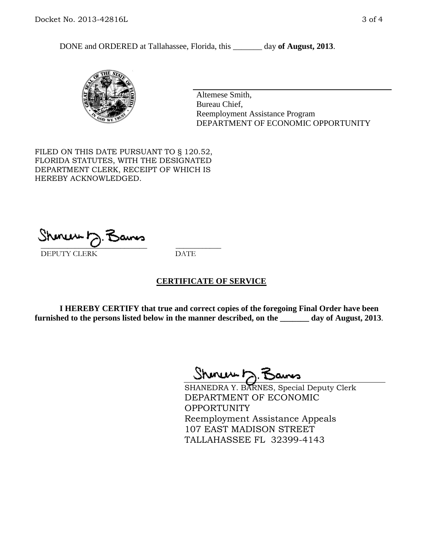DONE and ORDERED at Tallahassee, Florida, this \_\_\_\_\_\_\_ day **of August, 2013**.



Altemese Smith, Bureau Chief, Reemployment Assistance Program DEPARTMENT OF ECONOMIC OPPORTUNITY

FILED ON THIS DATE PURSUANT TO § 120.52, FLORIDA STATUTES, WITH THE DESIGNATED DEPARTMENT CLERK, RECEIPT OF WHICH IS HEREBY ACKNOWLEDGED.

 $\overline{\phantom{a}}$  ,  $\overline{\phantom{a}}$  ,  $\overline{\phantom{a}}$  ,  $\overline{\phantom{a}}$  ,  $\overline{\phantom{a}}$  ,  $\overline{\phantom{a}}$  ,  $\overline{\phantom{a}}$  ,  $\overline{\phantom{a}}$ DEPUTY CLERK DATE

# **CERTIFICATE OF SERVICE**

**I HEREBY CERTIFY that true and correct copies of the foregoing Final Order have been furnished to the persons listed below in the manner described, on the \_\_\_\_\_\_\_ day of August, 2013**.

 $ShmumE, F$ 

SHANEDRA Y. BARNES, Special Deputy Clerk DEPARTMENT OF ECONOMIC **OPPORTUNITY** Reemployment Assistance Appeals 107 EAST MADISON STREET TALLAHASSEE FL 32399-4143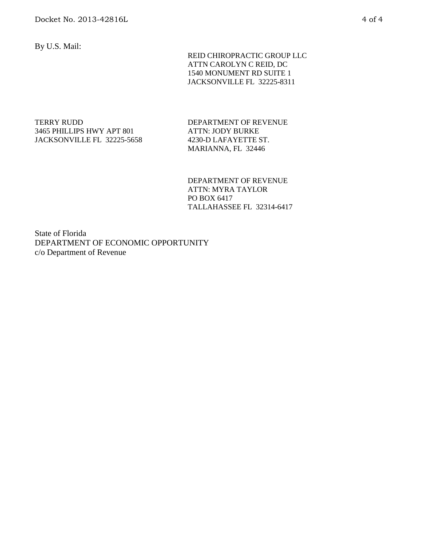By U.S. Mail:

 REID CHIROPRACTIC GROUP LLC ATTN CAROLYN C REID, DC 1540 MONUMENT RD SUITE 1 JACKSONVILLE FL 32225-8311

TERRY RUDD 3465 PHILLIPS HWY APT 801 JACKSONVILLE FL 32225-5658 DEPARTMENT OF REVENUE ATTN: JODY BURKE 4230-D LAFAYETTE ST. MARIANNA, FL 32446

DEPARTMENT OF REVENUE ATTN: MYRA TAYLOR PO BOX 6417 TALLAHASSEE FL 32314-6417

State of Florida DEPARTMENT OF ECONOMIC OPPORTUNITY c/o Department of Revenue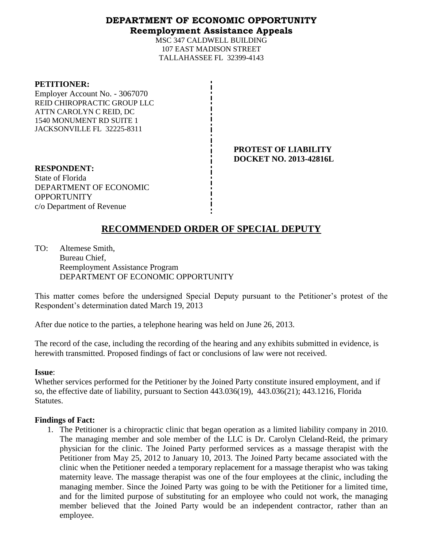# **DEPARTMENT OF ECONOMIC OPPORTUNITY Reemployment Assistance Appeals**

MSC 347 CALDWELL BUILDING 107 EAST MADISON STREET TALLAHASSEE FL 32399-4143

#### **PETITIONER:**

Employer Account No. - 3067070 REID CHIROPRACTIC GROUP LLC ATTN CAROLYN C REID, DC 1540 MONUMENT RD SUITE 1 JACKSONVILLE FL 32225-8311

> **PROTEST OF LIABILITY DOCKET NO. 2013-42816L**

**RESPONDENT:** State of Florida DEPARTMENT OF ECONOMIC **OPPORTUNITY** c/o Department of Revenue

# **RECOMMENDED ORDER OF SPECIAL DEPUTY**

TO: Altemese Smith, Bureau Chief, Reemployment Assistance Program DEPARTMENT OF ECONOMIC OPPORTUNITY

This matter comes before the undersigned Special Deputy pursuant to the Petitioner's protest of the Respondent's determination dated March 19, 2013

After due notice to the parties, a telephone hearing was held on June 26, 2013.

The record of the case, including the recording of the hearing and any exhibits submitted in evidence, is herewith transmitted. Proposed findings of fact or conclusions of law were not received.

#### **Issue**:

Whether services performed for the Petitioner by the Joined Party constitute insured employment, and if so, the effective date of liability, pursuant to Section 443.036(19), 443.036(21); 443.1216, Florida Statutes.

# **Findings of Fact:**

1. The Petitioner is a chiropractic clinic that began operation as a limited liability company in 2010. The managing member and sole member of the LLC is Dr. Carolyn Cleland-Reid, the primary physician for the clinic. The Joined Party performed services as a massage therapist with the Petitioner from May 25, 2012 to January 10, 2013. The Joined Party became associated with the clinic when the Petitioner needed a temporary replacement for a massage therapist who was taking maternity leave. The massage therapist was one of the four employees at the clinic, including the managing member. Since the Joined Party was going to be with the Petitioner for a limited time, and for the limited purpose of substituting for an employee who could not work, the managing member believed that the Joined Party would be an independent contractor, rather than an employee.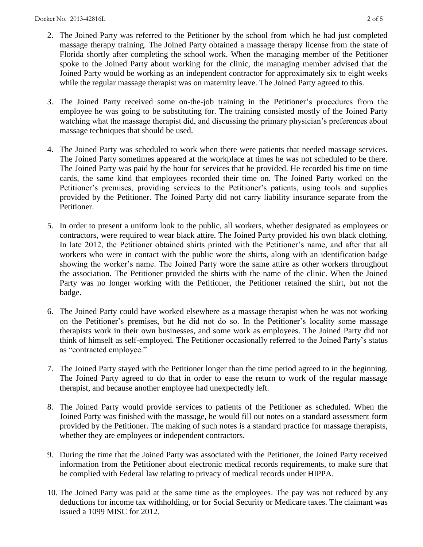- 2. The Joined Party was referred to the Petitioner by the school from which he had just completed massage therapy training. The Joined Party obtained a massage therapy license from the state of Florida shortly after completing the school work. When the managing member of the Petitioner spoke to the Joined Party about working for the clinic, the managing member advised that the Joined Party would be working as an independent contractor for approximately six to eight weeks while the regular massage therapist was on maternity leave. The Joined Party agreed to this.
- 3. The Joined Party received some on-the-job training in the Petitioner's procedures from the employee he was going to be substituting for. The training consisted mostly of the Joined Party watching what the massage therapist did, and discussing the primary physician's preferences about massage techniques that should be used.
- 4. The Joined Party was scheduled to work when there were patients that needed massage services. The Joined Party sometimes appeared at the workplace at times he was not scheduled to be there. The Joined Party was paid by the hour for services that he provided. He recorded his time on time cards, the same kind that employees recorded their time on. The Joined Party worked on the Petitioner's premises, providing services to the Petitioner's patients, using tools and supplies provided by the Petitioner. The Joined Party did not carry liability insurance separate from the Petitioner.
- 5. In order to present a uniform look to the public, all workers, whether designated as employees or contractors, were required to wear black attire. The Joined Party provided his own black clothing. In late 2012, the Petitioner obtained shirts printed with the Petitioner's name, and after that all workers who were in contact with the public wore the shirts, along with an identification badge showing the worker's name. The Joined Party wore the same attire as other workers throughout the association. The Petitioner provided the shirts with the name of the clinic. When the Joined Party was no longer working with the Petitioner, the Petitioner retained the shirt, but not the badge.
- 6. The Joined Party could have worked elsewhere as a massage therapist when he was not working on the Petitioner's premises, but he did not do so. In the Petitioner's locality some massage therapists work in their own businesses, and some work as employees. The Joined Party did not think of himself as self-employed. The Petitioner occasionally referred to the Joined Party's status as "contracted employee."
- 7. The Joined Party stayed with the Petitioner longer than the time period agreed to in the beginning. The Joined Party agreed to do that in order to ease the return to work of the regular massage therapist, and because another employee had unexpectedly left.
- 8. The Joined Party would provide services to patients of the Petitioner as scheduled. When the Joined Party was finished with the massage, he would fill out notes on a standard assessment form provided by the Petitioner. The making of such notes is a standard practice for massage therapists, whether they are employees or independent contractors.
- 9. During the time that the Joined Party was associated with the Petitioner, the Joined Party received information from the Petitioner about electronic medical records requirements, to make sure that he complied with Federal law relating to privacy of medical records under HIPPA.
- 10. The Joined Party was paid at the same time as the employees. The pay was not reduced by any deductions for income tax withholding, or for Social Security or Medicare taxes. The claimant was issued a 1099 MISC for 2012.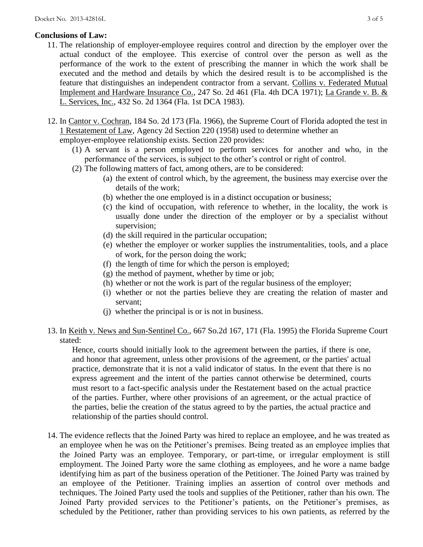# **Conclusions of Law:**

- 11. The relationship of employer-employee requires control and direction by the employer over the actual conduct of the employee. This exercise of control over the person as well as the performance of the work to the extent of prescribing the manner in which the work shall be executed and the method and details by which the desired result is to be accomplished is the feature that distinguishes an independent contractor from a servant. Collins v. Federated Mutual Implement and Hardware Insurance Co., 247 So. 2d 461 (Fla. 4th DCA 1971); La Grande v. B. & L. Services, Inc., 432 So. 2d 1364 (Fla. 1st DCA 1983).
- 12. In Cantor v. Cochran, 184 So. 2d 173 (Fla. 1966), the Supreme Court of Florida adopted the test in 1 Restatement of Law, Agency 2d Section 220 (1958) used to determine whether an employer-employee relationship exists. Section 220 provides:
	- (1) A servant is a person employed to perform services for another and who, in the performance of the services, is subject to the other's control or right of control.
	- (2) The following matters of fact, among others, are to be considered:
		- (a) the extent of control which, by the agreement, the business may exercise over the details of the work;
		- (b) whether the one employed is in a distinct occupation or business;
		- (c) the kind of occupation, with reference to whether, in the locality, the work is usually done under the direction of the employer or by a specialist without supervision;
		- (d) the skill required in the particular occupation;
		- (e) whether the employer or worker supplies the instrumentalities, tools, and a place of work, for the person doing the work;
		- (f) the length of time for which the person is employed;
		- (g) the method of payment, whether by time or job;
		- (h) whether or not the work is part of the regular business of the employer;
		- (i) whether or not the parties believe they are creating the relation of master and servant;
		- (j) whether the principal is or is not in business.
- 13. In Keith v. News and Sun-Sentinel Co., 667 So.2d 167, 171 (Fla. 1995) the Florida Supreme Court stated:

Hence, courts should initially look to the agreement between the parties, if there is one, and honor that agreement, unless other provisions of the agreement, or the parties' actual practice, demonstrate that it is not a valid indicator of status. In the event that there is no express agreement and the intent of the parties cannot otherwise be determined, courts must resort to a fact-specific analysis under the Restatement based on the actual practice of the parties. Further, where other provisions of an agreement, or the actual practice of the parties, belie the creation of the status agreed to by the parties, the actual practice and relationship of the parties should control.

14. The evidence reflects that the Joined Party was hired to replace an employee, and he was treated as an employee when he was on the Petitioner's premises. Being treated as an employee implies that the Joined Party was an employee. Temporary, or part-time, or irregular employment is still employment. The Joined Party wore the same clothing as employees, and he wore a name badge identifying him as part of the business operation of the Petitioner. The Joined Party was trained by an employee of the Petitioner. Training implies an assertion of control over methods and techniques. The Joined Party used the tools and supplies of the Petitioner, rather than his own. The Joined Party provided services to the Petitioner's patients, on the Petitioner's premises, as scheduled by the Petitioner, rather than providing services to his own patients, as referred by the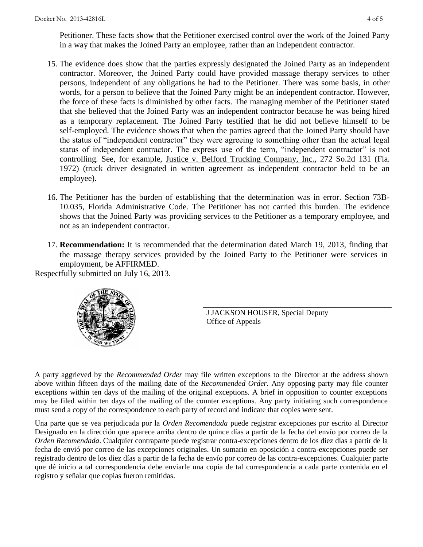Petitioner. These facts show that the Petitioner exercised control over the work of the Joined Party in a way that makes the Joined Party an employee, rather than an independent contractor.

- 15. The evidence does show that the parties expressly designated the Joined Party as an independent contractor. Moreover, the Joined Party could have provided massage therapy services to other persons, independent of any obligations he had to the Petitioner. There was some basis, in other words, for a person to believe that the Joined Party might be an independent contractor. However, the force of these facts is diminished by other facts. The managing member of the Petitioner stated that she believed that the Joined Party was an independent contractor because he was being hired as a temporary replacement. The Joined Party testified that he did not believe himself to be self-employed. The evidence shows that when the parties agreed that the Joined Party should have the status of "independent contractor" they were agreeing to something other than the actual legal status of independent contractor. The express use of the term, "independent contractor" is not controlling. See, for example, Justice v. Belford Trucking Company, Inc., 272 So.2d 131 (Fla. 1972) (truck driver designated in written agreement as independent contractor held to be an employee).
- 16. The Petitioner has the burden of establishing that the determination was in error. Section 73B-10.035, Florida Administrative Code. The Petitioner has not carried this burden. The evidence shows that the Joined Party was providing services to the Petitioner as a temporary employee, and not as an independent contractor.
- 17. **Recommendation:** It is recommended that the determination dated March 19, 2013, finding that the massage therapy services provided by the Joined Party to the Petitioner were services in employment, be AFFIRMED.

Respectfully submitted on July 16, 2013.



J JACKSON HOUSER, Special Deputy Office of Appeals

A party aggrieved by the *Recommended Order* may file written exceptions to the Director at the address shown above within fifteen days of the mailing date of the *Recommended Order*. Any opposing party may file counter exceptions within ten days of the mailing of the original exceptions. A brief in opposition to counter exceptions may be filed within ten days of the mailing of the counter exceptions. Any party initiating such correspondence must send a copy of the correspondence to each party of record and indicate that copies were sent.

Una parte que se vea perjudicada por la *Orden Recomendada* puede registrar excepciones por escrito al Director Designado en la dirección que aparece arriba dentro de quince días a partir de la fecha del envío por correo de la *Orden Recomendada*. Cualquier contraparte puede registrar contra-excepciones dentro de los diez días a partir de la fecha de envió por correo de las excepciones originales. Un sumario en oposición a contra-excepciones puede ser registrado dentro de los diez días a partir de la fecha de envío por correo de las contra-excepciones. Cualquier parte que dé inicio a tal correspondencia debe enviarle una copia de tal correspondencia a cada parte contenida en el registro y señalar que copias fueron remitidas.